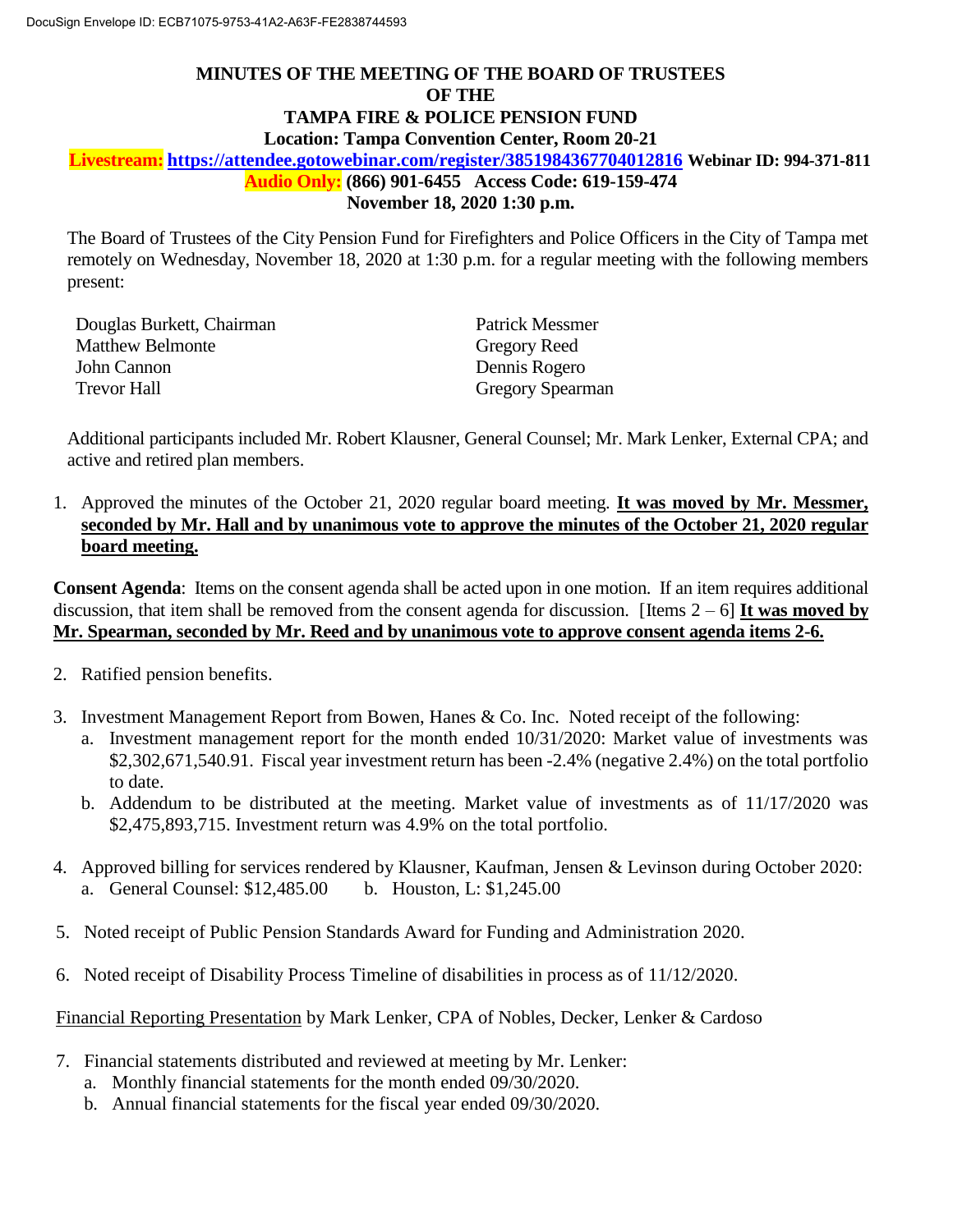# **MINUTES OF THE MEETING OF THE BOARD OF TRUSTEES OF THE TAMPA FIRE & POLICE PENSION FUND Location: Tampa Convention Center, Room 20-21 Livestream: <https://attendee.gotowebinar.com/register/3851984367704012816> Webinar ID: 994-371-811 Audio Only: (866) 901-6455 Access Code: 619-159-474 November 18, 2020 1:30 p.m.**

The Board of Trustees of the City Pension Fund for Firefighters and Police Officers in the City of Tampa met remotely on Wednesday, November 18, 2020 at 1:30 p.m. for a regular meeting with the following members present:

| Douglas Burkett, Chairman | <b>Patrick Messmer</b>  |
|---------------------------|-------------------------|
| <b>Matthew Belmonte</b>   | <b>Gregory Reed</b>     |
| John Cannon               | Dennis Rogero           |
| Trevor Hall               | <b>Gregory Spearman</b> |

Additional participants included Mr. Robert Klausner, General Counsel; Mr. Mark Lenker, External CPA; and active and retired plan members.

1. Approved the minutes of the October 21, 2020 regular board meeting. **It was moved by Mr. Messmer, seconded by Mr. Hall and by unanimous vote to approve the minutes of the October 21, 2020 regular board meeting.**

**Consent Agenda**: Items on the consent agenda shall be acted upon in one motion. If an item requires additional discussion, that item shall be removed from the consent agenda for discussion. [Items 2 – 6] **It was moved by Mr. Spearman, seconded by Mr. Reed and by unanimous vote to approve consent agenda items 2-6.** 

- 2. Ratified pension benefits.
- 3. Investment Management Report from Bowen, Hanes & Co. Inc. Noted receipt of the following:
	- a. Investment management report for the month ended 10/31/2020: Market value of investments was \$2,302,671,540.91. Fiscal year investment return has been -2.4% (negative 2.4%) on the total portfolio to date.
	- b. Addendum to be distributed at the meeting. Market value of investments as of 11/17/2020 was \$2,475,893,715. Investment return was 4.9% on the total portfolio.
- 4. Approved billing for services rendered by Klausner, Kaufman, Jensen & Levinson during October 2020: a. General Counsel: \$12,485.00 b. Houston, L: \$1,245.00
- 5. Noted receipt of Public Pension Standards Award for Funding and Administration 2020.
- 6. Noted receipt of Disability Process Timeline of disabilities in process as of 11/12/2020.

Financial Reporting Presentation by Mark Lenker, CPA of Nobles, Decker, Lenker & Cardoso

- 7. Financial statements distributed and reviewed at meeting by Mr. Lenker:
	- a. Monthly financial statements for the month ended 09/30/2020.
	- b. Annual financial statements for the fiscal year ended 09/30/2020.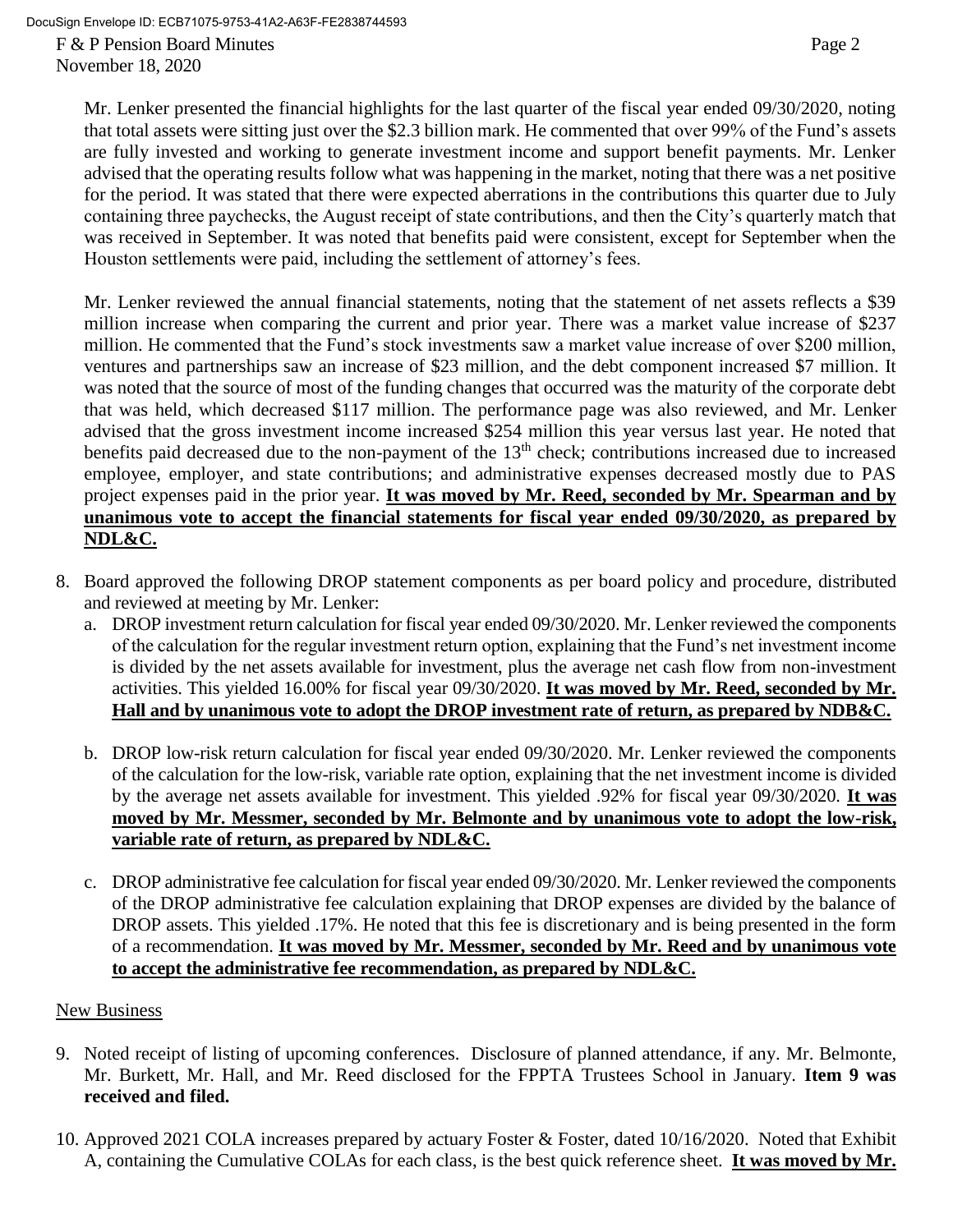DocuSign Envelope ID: ECB71075-9753-41A2-A63F-FE2838744593

F & P Pension Board Minutes Page 2 November 18, 2020

Mr. Lenker presented the financial highlights for the last quarter of the fiscal year ended 09/30/2020, noting that total assets were sitting just over the \$2.3 billion mark. He commented that over 99% of the Fund's assets are fully invested and working to generate investment income and support benefit payments. Mr. Lenker advised that the operating results follow what was happening in the market, noting that there was a net positive for the period. It was stated that there were expected aberrations in the contributions this quarter due to July containing three paychecks, the August receipt of state contributions, and then the City's quarterly match that was received in September. It was noted that benefits paid were consistent, except for September when the Houston settlements were paid, including the settlement of attorney's fees.

Mr. Lenker reviewed the annual financial statements, noting that the statement of net assets reflects a \$39 million increase when comparing the current and prior year. There was a market value increase of \$237 million. He commented that the Fund's stock investments saw a market value increase of over \$200 million, ventures and partnerships saw an increase of \$23 million, and the debt component increased \$7 million. It was noted that the source of most of the funding changes that occurred was the maturity of the corporate debt that was held, which decreased \$117 million. The performance page was also reviewed, and Mr. Lenker advised that the gross investment income increased \$254 million this year versus last year. He noted that benefits paid decreased due to the non-payment of the 13<sup>th</sup> check; contributions increased due to increased employee, employer, and state contributions; and administrative expenses decreased mostly due to PAS project expenses paid in the prior year. **It was moved by Mr. Reed, seconded by Mr. Spearman and by unanimous vote to accept the financial statements for fiscal year ended 09/30/2020, as prepared by NDL&C.** 

- 8. Board approved the following DROP statement components as per board policy and procedure, distributed and reviewed at meeting by Mr. Lenker:
	- a. DROP investment return calculation for fiscal year ended 09/30/2020. Mr. Lenker reviewed the components of the calculation for the regular investment return option, explaining that the Fund's net investment income is divided by the net assets available for investment, plus the average net cash flow from non-investment activities. This yielded 16.00% for fiscal year 09/30/2020. **It was moved by Mr. Reed, seconded by Mr. Hall and by unanimous vote to adopt the DROP investment rate of return, as prepared by NDB&C.**
	- b. DROP low-risk return calculation for fiscal year ended 09/30/2020. Mr. Lenker reviewed the components of the calculation for the low-risk, variable rate option, explaining that the net investment income is divided by the average net assets available for investment. This yielded .92% for fiscal year 09/30/2020. **It was moved by Mr. Messmer, seconded by Mr. Belmonte and by unanimous vote to adopt the low-risk, variable rate of return, as prepared by NDL&C.**
	- c. DROP administrative fee calculation for fiscal year ended 09/30/2020. Mr. Lenker reviewed the components of the DROP administrative fee calculation explaining that DROP expenses are divided by the balance of DROP assets. This yielded .17%. He noted that this fee is discretionary and is being presented in the form of a recommendation. **It was moved by Mr. Messmer, seconded by Mr. Reed and by unanimous vote to accept the administrative fee recommendation, as prepared by NDL&C.**

# New Business

- 9. Noted receipt of listing of upcoming conferences. Disclosure of planned attendance, if any. Mr. Belmonte, Mr. Burkett, Mr. Hall, and Mr. Reed disclosed for the FPPTA Trustees School in January. **Item 9 was received and filed.**
- 10. Approved 2021 COLA increases prepared by actuary Foster & Foster, dated 10/16/2020. Noted that Exhibit A, containing the Cumulative COLAs for each class, is the best quick reference sheet. **It was moved by Mr.**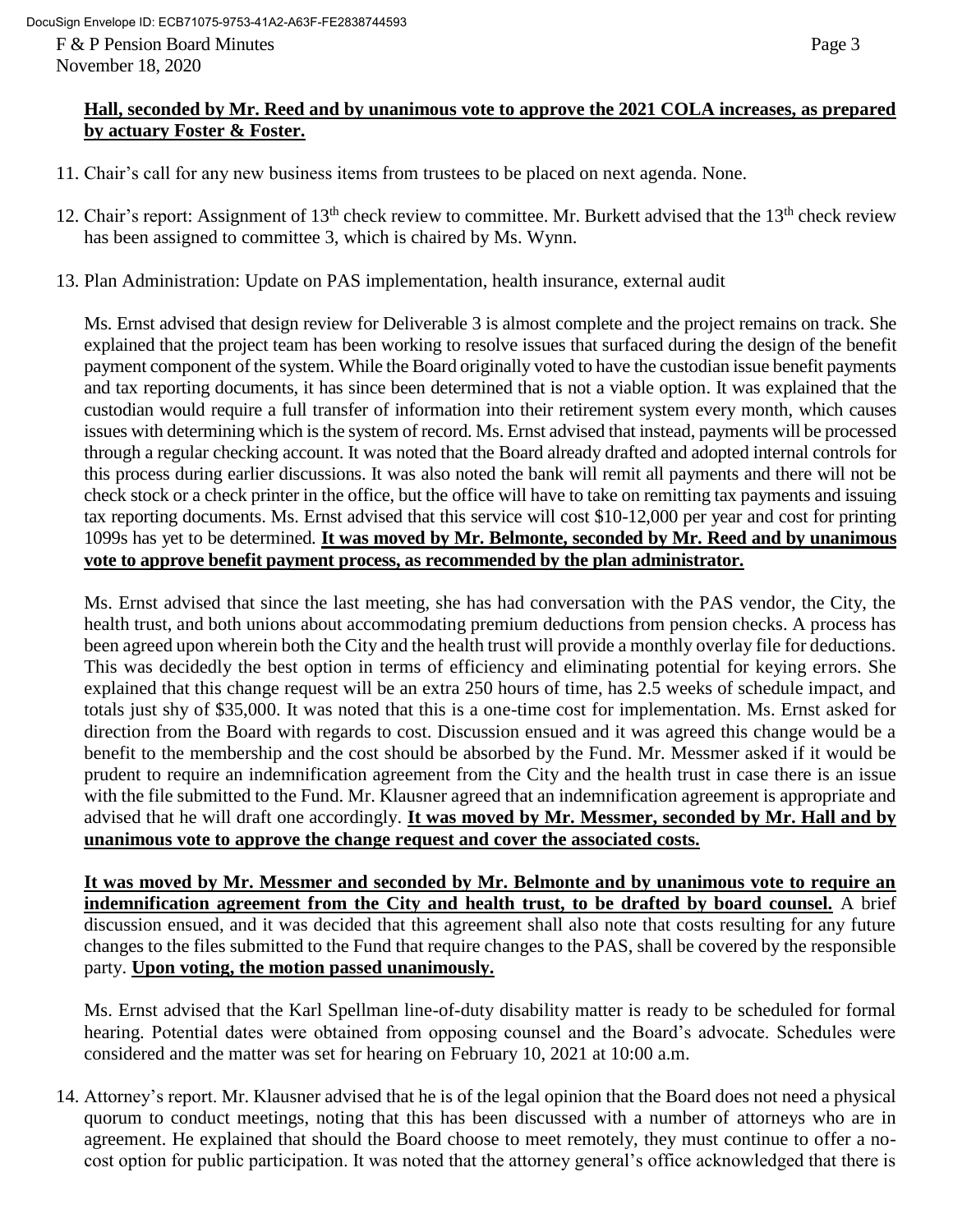# **Hall, seconded by Mr. Reed and by unanimous vote to approve the 2021 COLA increases, as prepared by actuary Foster & Foster.**

- 11. Chair's call for any new business items from trustees to be placed on next agenda. None.
- 12. Chair's report: Assignment of 13<sup>th</sup> check review to committee. Mr. Burkett advised that the 13<sup>th</sup> check review has been assigned to committee 3, which is chaired by Ms. Wynn.
- 13. Plan Administration: Update on PAS implementation, health insurance, external audit

Ms. Ernst advised that design review for Deliverable 3 is almost complete and the project remains on track. She explained that the project team has been working to resolve issues that surfaced during the design of the benefit payment component of the system. While the Board originally voted to have the custodian issue benefit payments and tax reporting documents, it has since been determined that is not a viable option. It was explained that the custodian would require a full transfer of information into their retirement system every month, which causes issues with determining which is the system of record. Ms. Ernst advised that instead, payments will be processed through a regular checking account. It was noted that the Board already drafted and adopted internal controls for this process during earlier discussions. It was also noted the bank will remit all payments and there will not be check stock or a check printer in the office, but the office will have to take on remitting tax payments and issuing tax reporting documents. Ms. Ernst advised that this service will cost \$10-12,000 per year and cost for printing 1099s has yet to be determined. **It was moved by Mr. Belmonte, seconded by Mr. Reed and by unanimous vote to approve benefit payment process, as recommended by the plan administrator.** 

Ms. Ernst advised that since the last meeting, she has had conversation with the PAS vendor, the City, the health trust, and both unions about accommodating premium deductions from pension checks. A process has been agreed upon wherein both the City and the health trust will provide a monthly overlay file for deductions. This was decidedly the best option in terms of efficiency and eliminating potential for keying errors. She explained that this change request will be an extra 250 hours of time, has 2.5 weeks of schedule impact, and totals just shy of \$35,000. It was noted that this is a one-time cost for implementation. Ms. Ernst asked for direction from the Board with regards to cost. Discussion ensued and it was agreed this change would be a benefit to the membership and the cost should be absorbed by the Fund. Mr. Messmer asked if it would be prudent to require an indemnification agreement from the City and the health trust in case there is an issue with the file submitted to the Fund. Mr. Klausner agreed that an indemnification agreement is appropriate and advised that he will draft one accordingly. **It was moved by Mr. Messmer, seconded by Mr. Hall and by unanimous vote to approve the change request and cover the associated costs.**

**It was moved by Mr. Messmer and seconded by Mr. Belmonte and by unanimous vote to require an indemnification agreement from the City and health trust, to be drafted by board counsel.** A brief discussion ensued, and it was decided that this agreement shall also note that costs resulting for any future changes to the files submitted to the Fund that require changes to the PAS, shall be covered by the responsible party. **Upon voting, the motion passed unanimously.** 

Ms. Ernst advised that the Karl Spellman line-of-duty disability matter is ready to be scheduled for formal hearing. Potential dates were obtained from opposing counsel and the Board's advocate. Schedules were considered and the matter was set for hearing on February 10, 2021 at 10:00 a.m.

14. Attorney's report. Mr. Klausner advised that he is of the legal opinion that the Board does not need a physical quorum to conduct meetings, noting that this has been discussed with a number of attorneys who are in agreement. He explained that should the Board choose to meet remotely, they must continue to offer a nocost option for public participation. It was noted that the attorney general's office acknowledged that there is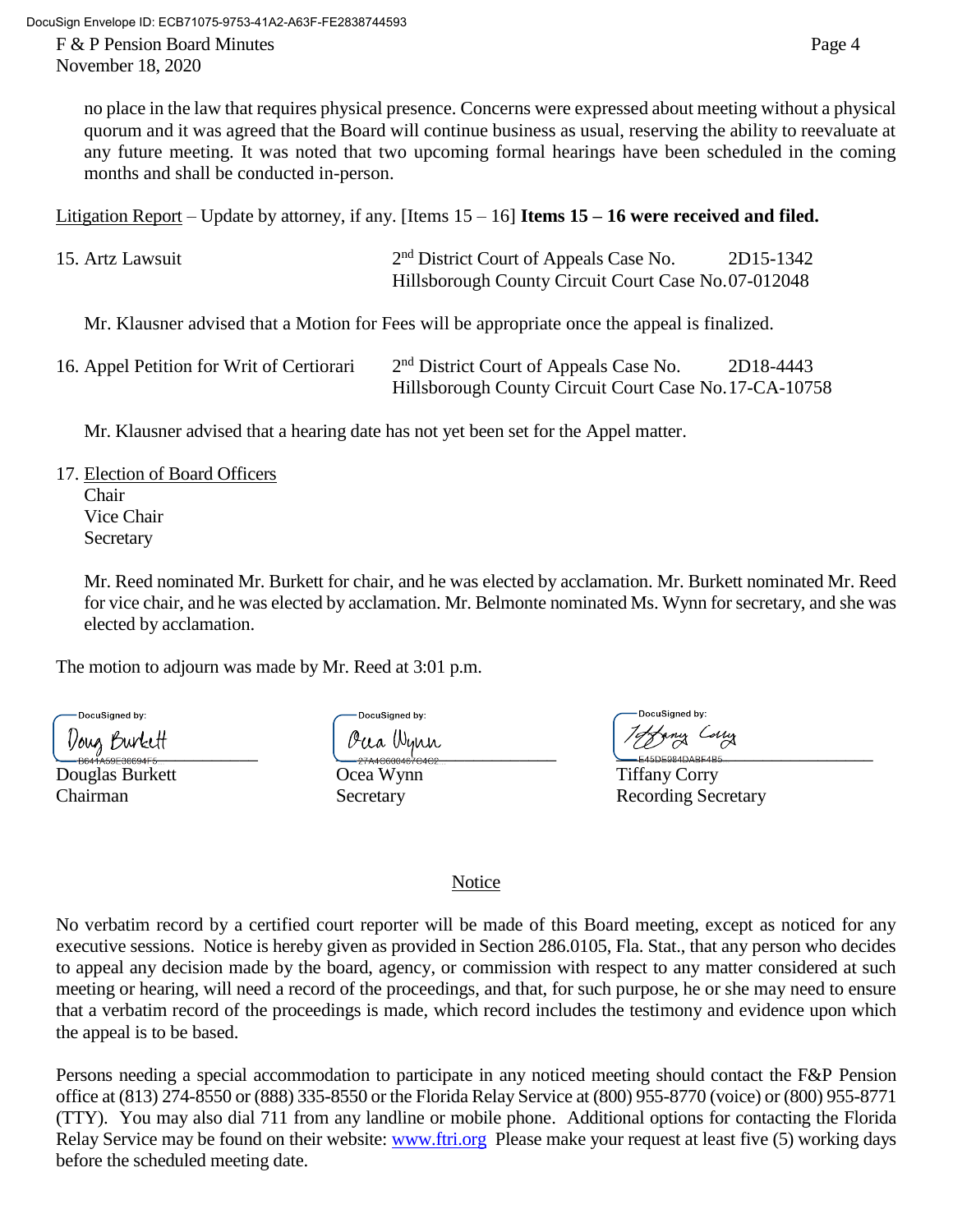November 18, 2020

no place in the law that requires physical presence. Concerns were expressed about meeting without a physical quorum and it was agreed that the Board will continue business as usual, reserving the ability to reevaluate at any future meeting. It was noted that two upcoming formal hearings have been scheduled in the coming months and shall be conducted in-person.

Litigation Report – Update by attorney, if any. [Items 15 – 16] **Items 15 – 16 were received and filed.**

| 15. Artz Lawsuit | 2 <sup>nd</sup> District Court of Appeals Case No.  | 2D15-1342 |
|------------------|-----------------------------------------------------|-----------|
|                  | Hillsborough County Circuit Court Case No.07-012048 |           |

Mr. Klausner advised that a Motion for Fees will be appropriate once the appeal is finalized.

| 16. Appel Petition for Writ of Certiorari | 2 <sup>nd</sup> District Court of Appeals Case No.     | 2D18-4443 |
|-------------------------------------------|--------------------------------------------------------|-----------|
|                                           | Hillsborough County Circuit Court Case No. 17-CA-10758 |           |

Mr. Klausner advised that a hearing date has not yet been set for the Appel matter.

- 17. Election of Board Officers
	- Chair Vice Chair **Secretary**

Mr. Reed nominated Mr. Burkett for chair, and he was elected by acclamation. Mr. Burkett nominated Mr. Reed for vice chair, and he was elected by acclamation. Mr. Belmonte nominated Ms. Wynn for secretary, and she was elected by acclamation.

The motion to adjourn was made by Mr. Reed at 3:01 p.m.

DocuSigned by:

Douglas Burkett Ocea Wynn Tiffany Corry

**DocuSianed by:** 

\_\_\_\_\_\_\_\_\_\_\_\_\_\_\_\_\_\_\_\_\_\_ \_\_\_\_\_\_\_\_\_\_\_\_\_\_\_\_\_\_\_\_\_\_\_\_ \_\_\_\_\_\_\_\_\_\_\_\_\_\_\_\_\_\_\_\_\_\_\_\_\_\_\_\_

Chairman Secretary Secretary Recording Secretary

# Notice

No verbatim record by a certified court reporter will be made of this Board meeting, except as noticed for any executive sessions. Notice is hereby given as provided in Section 286.0105, Fla. Stat., that any person who decides to appeal any decision made by the board, agency, or commission with respect to any matter considered at such meeting or hearing, will need a record of the proceedings, and that, for such purpose, he or she may need to ensure that a verbatim record of the proceedings is made, which record includes the testimony and evidence upon which the appeal is to be based.

Persons needing a special accommodation to participate in any noticed meeting should contact the F&P Pension office at (813) 274-8550 or (888) 335-8550 or the Florida Relay Service at (800) 955-8770 (voice) or (800) 955-8771 (TTY). You may also dial 711 from any landline or mobile phone. Additional options for contacting the Florida Relay Service may be found on their website: [www.ftri.org](http://www.ftri.org/) Please make your request at least five (5) working days before the scheduled meeting date.